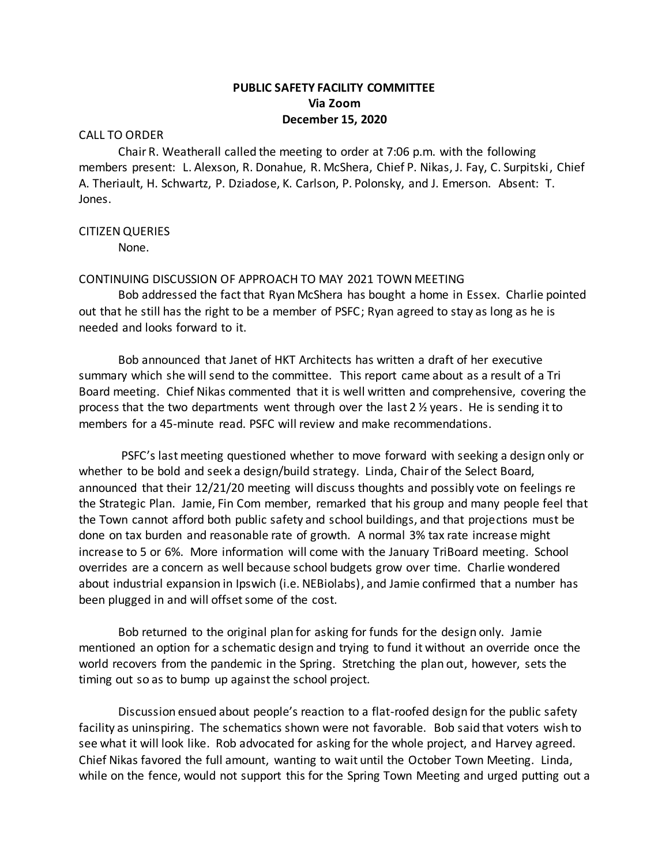# **PUBLIC SAFETY FACILITY COMMITTEE Via Zoom December 15, 2020**

#### CALL TO ORDER

Chair R. Weatherall called the meeting to order at 7:06 p.m. with the following members present: L. Alexson, R. Donahue, R. McShera, Chief P. Nikas, J. Fay, C. Surpitski, Chief A. Theriault, H. Schwartz, P. Dziadose, K. Carlson, P. Polonsky, and J. Emerson. Absent: T. Jones.

### CITIZEN QUERIES

None.

## CONTINUING DISCUSSION OF APPROACH TO MAY 2021 TOWN MEETING

Bob addressed the fact that Ryan McShera has bought a home in Essex. Charlie pointed out that he still has the right to be a member of PSFC; Ryan agreed to stay as long as he is needed and looks forward to it.

Bob announced that Janet of HKT Architects has written a draft of her executive summary which she will send to the committee. This report came about as a result of a Tri Board meeting. Chief Nikas commented that it is well written and comprehensive, covering the process that the two departments went through over the last  $2\frac{1}{2}$  years. He is sending it to members for a 45-minute read. PSFC will review and make recommendations.

PSFC's last meeting questioned whether to move forward with seeking a design only or whether to be bold and seek a design/build strategy. Linda, Chair of the Select Board, announced that their 12/21/20 meeting will discuss thoughts and possibly vote on feelings re the Strategic Plan. Jamie, Fin Com member, remarked that his group and many people feel that the Town cannot afford both public safety and school buildings, and that projections must be done on tax burden and reasonable rate of growth. A normal 3% tax rate increase might increase to 5 or 6%. More information will come with the January TriBoard meeting. School overrides are a concern as well because school budgets grow over time. Charlie wondered about industrial expansion in Ipswich (i.e. NEBiolabs), and Jamie confirmed that a number has been plugged in and will offset some of the cost.

Bob returned to the original plan for asking for funds for the design only. Jamie mentioned an option for a schematic design and trying to fund it without an override once the world recovers from the pandemic in the Spring. Stretching the plan out, however, sets the timing out so as to bump up against the school project.

Discussion ensued about people's reaction to a flat-roofed design for the public safety facility as uninspiring. The schematics shown were not favorable. Bob said that voters wish to see what it will look like. Rob advocated for asking for the whole project, and Harvey agreed. Chief Nikas favored the full amount, wanting to wait until the October Town Meeting. Linda, while on the fence, would not support this for the Spring Town Meeting and urged putting out a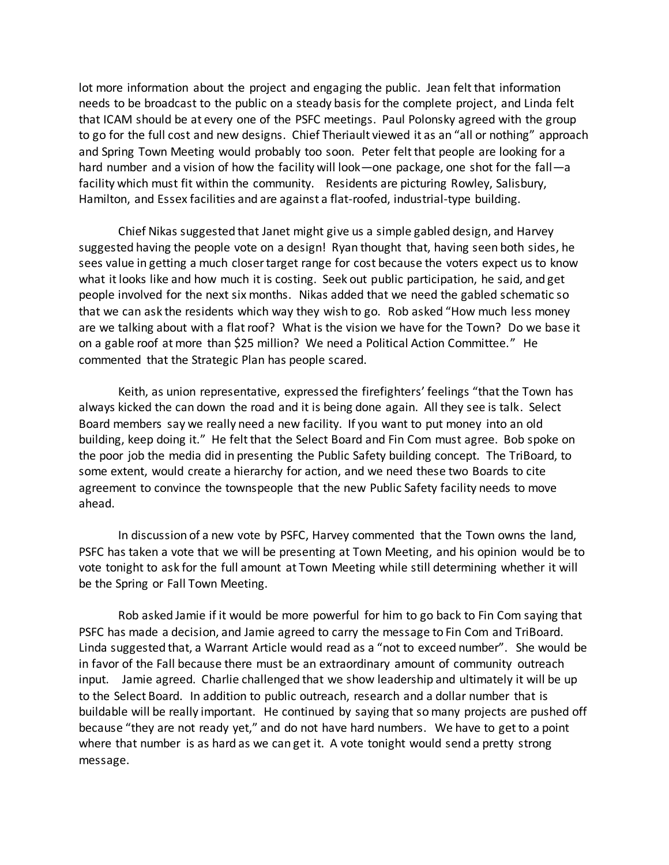lot more information about the project and engaging the public. Jean felt that information needs to be broadcast to the public on a steady basis for the complete project, and Linda felt that ICAM should be at every one of the PSFC meetings. Paul Polonsky agreed with the group to go for the full cost and new designs. Chief Theriault viewed it as an "all or nothing" approach and Spring Town Meeting would probably too soon. Peter felt that people are looking for a hard number and a vision of how the facility will look—one package, one shot for the fall—a facility which must fit within the community. Residents are picturing Rowley, Salisbury, Hamilton, and Essex facilities and are against a flat-roofed, industrial-type building.

Chief Nikas suggested that Janet might give us a simple gabled design, and Harvey suggested having the people vote on a design! Ryan thought that, having seen both sides, he sees value in getting a much closer target range for cost because the voters expect us to know what it looks like and how much it is costing. Seek out public participation, he said, and get people involved for the next six months. Nikas added that we need the gabled schematic so that we can ask the residents which way they wish to go. Rob asked "How much less money are we talking about with a flat roof? What is the vision we have for the Town? Do we base it on a gable roof at more than \$25 million? We need a Political Action Committee." He commented that the Strategic Plan has people scared.

Keith, as union representative, expressed the firefighters' feelings "that the Town has always kicked the can down the road and it is being done again. All they see is talk. Select Board members say we really need a new facility. If you want to put money into an old building, keep doing it." He felt that the Select Board and Fin Com must agree. Bob spoke on the poor job the media did in presenting the Public Safety building concept. The TriBoard, to some extent, would create a hierarchy for action, and we need these two Boards to cite agreement to convince the townspeople that the new Public Safety facility needs to move ahead.

In discussion of a new vote by PSFC, Harvey commented that the Town owns the land, PSFC has taken a vote that we will be presenting at Town Meeting, and his opinion would be to vote tonight to ask for the full amount at Town Meeting while still determining whether it will be the Spring or Fall Town Meeting.

Rob asked Jamie if it would be more powerful for him to go back to Fin Com saying that PSFC has made a decision, and Jamie agreed to carry the message to Fin Com and TriBoard. Linda suggested that, a Warrant Article would read as a "not to exceed number". She would be in favor of the Fall because there must be an extraordinary amount of community outreach input. Jamie agreed. Charlie challenged that we show leadership and ultimately it will be up to the Select Board. In addition to public outreach, research and a dollar number that is buildable will be really important. He continued by saying that so many projects are pushed off because "they are not ready yet," and do not have hard numbers. We have to get to a point where that number is as hard as we can get it. A vote tonight would send a pretty strong message.